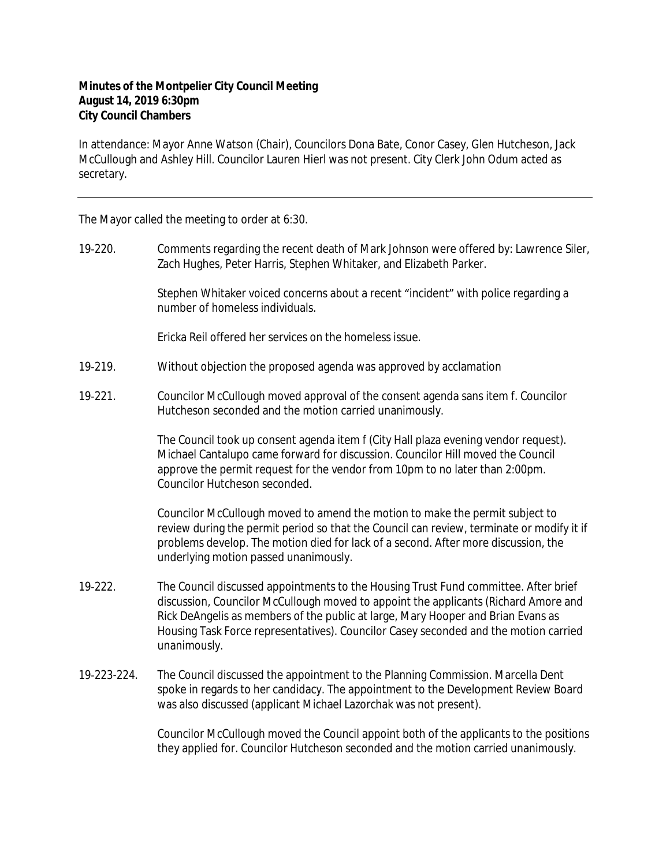## **Minutes of the Montpelier City Council Meeting August 14, 2019 6:30pm City Council Chambers**

In attendance: Mayor Anne Watson (Chair), Councilors Dona Bate, Conor Casey, Glen Hutcheson, Jack McCullough and Ashley Hill. Councilor Lauren Hierl was not present. City Clerk John Odum acted as secretary.

The Mayor called the meeting to order at 6:30.

19‐220. Comments regarding the recent death of Mark Johnson were offered by: Lawrence Siler, Zach Hughes, Peter Harris, Stephen Whitaker, and Elizabeth Parker.

> Stephen Whitaker voiced concerns about a recent "incident" with police regarding a number of homeless individuals.

Ericka Reil offered her services on the homeless issue.

- 19‐219. Without objection the proposed agenda was approved by acclamation
- 19-221. Councilor McCullough moved approval of the consent agenda sans item f. Councilor Hutcheson seconded and the motion carried unanimously.

The Council took up consent agenda item f (City Hall plaza evening vendor request). Michael Cantalupo came forward for discussion. Councilor Hill moved the Council approve the permit request for the vendor from 10pm to no later than 2:00pm. Councilor Hutcheson seconded.

Councilor McCullough moved to amend the motion to make the permit subject to review during the permit period so that the Council can review, terminate or modify it if problems develop. The motion died for lack of a second. After more discussion, the underlying motion passed unanimously.

- 19‐222. The Council discussed appointments to the Housing Trust Fund committee. After brief discussion, Councilor McCullough moved to appoint the applicants (Richard Amore and Rick DeAngelis as members of the public at large, Mary Hooper and Brian Evans as Housing Task Force representatives). Councilor Casey seconded and the motion carried unanimously.
- 19‐223-224. The Council discussed the appointment to the Planning Commission. Marcella Dent spoke in regards to her candidacy. The appointment to the Development Review Board was also discussed (applicant Michael Lazorchak was not present).

Councilor McCullough moved the Council appoint both of the applicants to the positions they applied for. Councilor Hutcheson seconded and the motion carried unanimously.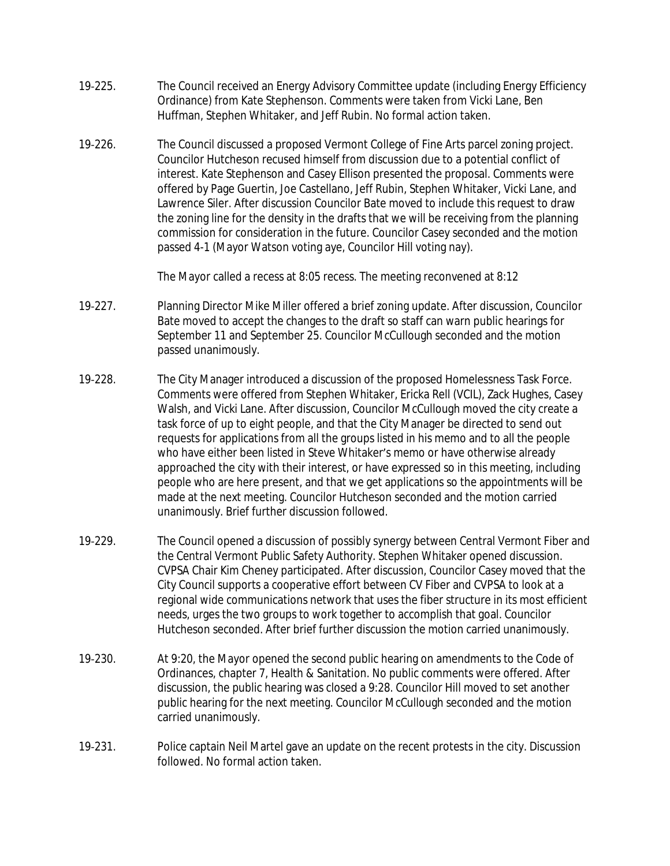- 19‐225. The Council received an Energy Advisory Committee update (including Energy Efficiency Ordinance) from Kate Stephenson. Comments were taken from Vicki Lane, Ben Huffman, Stephen Whitaker, and Jeff Rubin. No formal action taken.
- 19‐226. The Council discussed a proposed Vermont College of Fine Arts parcel zoning project. Councilor Hutcheson recused himself from discussion due to a potential conflict of interest. Kate Stephenson and Casey Ellison presented the proposal. Comments were offered by Page Guertin, Joe Castellano, Jeff Rubin, Stephen Whitaker, Vicki Lane, and Lawrence Siler. After discussion Councilor Bate moved to include this request to draw the zoning line for the density in the drafts that we will be receiving from the planning commission for consideration in the future. Councilor Casey seconded and the motion passed 4-1 (Mayor Watson voting aye, Councilor Hill voting nay).

The Mayor called a recess at 8:05 recess. The meeting reconvened at 8:12

- 19‐227. Planning Director Mike Miller offered a brief zoning update. After discussion, Councilor Bate moved to accept the changes to the draft so staff can warn public hearings for September 11 and September 25. Councilor McCullough seconded and the motion passed unanimously.
- 19‐228. The City Manager introduced a discussion of the proposed Homelessness Task Force. Comments were offered from Stephen Whitaker, Ericka Rell (VCIL), Zack Hughes, Casey Walsh, and Vicki Lane. After discussion, Councilor McCullough moved the city create a task force of up to eight people, and that the City Manager be directed to send out requests for applications from all the groups listed in his memo and to all the people who have either been listed in Steve Whitaker's memo or have otherwise already approached the city with their interest, or have expressed so in this meeting, including people who are here present, and that we get applications so the appointments will be made at the next meeting. Councilor Hutcheson seconded and the motion carried unanimously. Brief further discussion followed.
- 19-229. The Council opened a discussion of possibly synergy between Central Vermont Fiber and the Central Vermont Public Safety Authority. Stephen Whitaker opened discussion. CVPSA Chair Kim Cheney participated. After discussion, Councilor Casey moved that the City Council supports a cooperative effort between CV Fiber and CVPSA to look at a regional wide communications network that uses the fiber structure in its most efficient needs, urges the two groups to work together to accomplish that goal. Councilor Hutcheson seconded. After brief further discussion the motion carried unanimously.
- 19‐230. At 9:20, the Mayor opened the second public hearing on amendments to the Code of Ordinances, chapter 7, Health & Sanitation. No public comments were offered. After discussion, the public hearing was closed a 9:28. Councilor Hill moved to set another public hearing for the next meeting. Councilor McCullough seconded and the motion carried unanimously.
- 19-231. Police captain Neil Martel gave an update on the recent protests in the city. Discussion followed. No formal action taken.